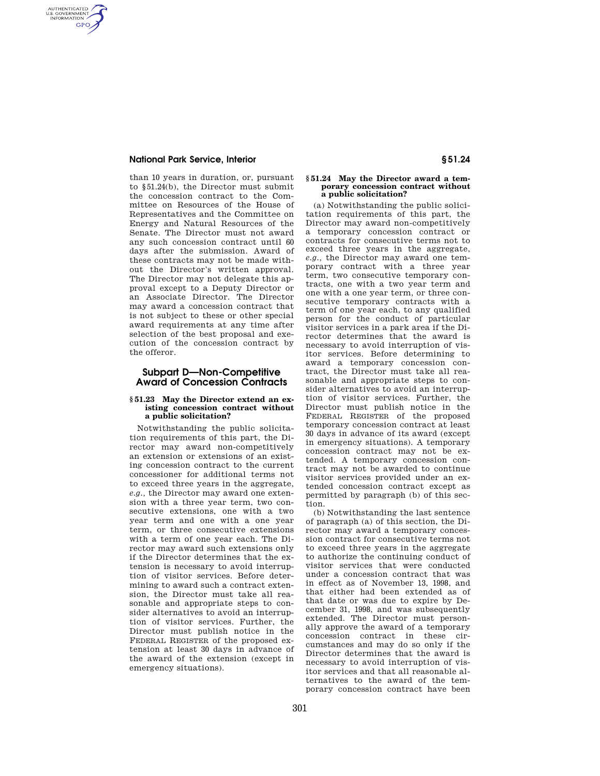### **National Park Service, Interior § 51.24**

AUTHENTICATED<br>U.S. GOVERNMENT<br>INFORMATION **GPO** 

> than 10 years in duration, or, pursuant to §51.24(b), the Director must submit the concession contract to the Committee on Resources of the House of Representatives and the Committee on Energy and Natural Resources of the Senate. The Director must not award any such concession contract until 60 days after the submission. Award of these contracts may not be made without the Director's written approval. The Director may not delegate this approval except to a Deputy Director or an Associate Director. The Director may award a concession contract that is not subject to these or other special award requirements at any time after selection of the best proposal and execution of the concession contract by the offeror.

## **Subpart D—Non-Competitive Award of Concession Contracts**

### **§ 51.23 May the Director extend an existing concession contract without a public solicitation?**

Notwithstanding the public solicitation requirements of this part, the Director may award non-competitively an extension or extensions of an existing concession contract to the current concessioner for additional terms not to exceed three years in the aggregate, *e.g.,* the Director may award one extension with a three year term, two consecutive extensions, one with a two year term and one with a one year term, or three consecutive extensions with a term of one year each. The Director may award such extensions only if the Director determines that the extension is necessary to avoid interruption of visitor services. Before determining to award such a contract extension, the Director must take all reasonable and appropriate steps to consider alternatives to avoid an interruption of visitor services. Further, the Director must publish notice in the FEDERAL REGISTER of the proposed extension at least 30 days in advance of the award of the extension (except in emergency situations).

### **§ 51.24 May the Director award a temporary concession contract without a public solicitation?**

(a) Notwithstanding the public solicitation requirements of this part, the Director may award non-competitively a temporary concession contract or contracts for consecutive terms not to exceed three years in the aggregate, *e.g.,* the Director may award one temporary contract with a three year term, two consecutive temporary contracts, one with a two year term and one with a one year term, or three consecutive temporary contracts with a term of one year each, to any qualified person for the conduct of particular visitor services in a park area if the Director determines that the award is necessary to avoid interruption of visitor services. Before determining to award a temporary concession contract, the Director must take all reasonable and appropriate steps to consider alternatives to avoid an interruption of visitor services. Further, the Director must publish notice in the FEDERAL REGISTER of the proposed temporary concession contract at least 30 days in advance of its award (except in emergency situations). A temporary concession contract may not be extended. A temporary concession contract may not be awarded to continue visitor services provided under an extended concession contract except as permitted by paragraph (b) of this section.

(b) Notwithstanding the last sentence of paragraph (a) of this section, the Director may award a temporary concession contract for consecutive terms not to exceed three years in the aggregate to authorize the continuing conduct of visitor services that were conducted under a concession contract that was in effect as of November 13, 1998, and that either had been extended as of that date or was due to expire by December 31, 1998, and was subsequently extended. The Director must personally approve the award of a temporary concession contract in these circumstances and may do so only if the Director determines that the award is necessary to avoid interruption of visitor services and that all reasonable alternatives to the award of the temporary concession contract have been